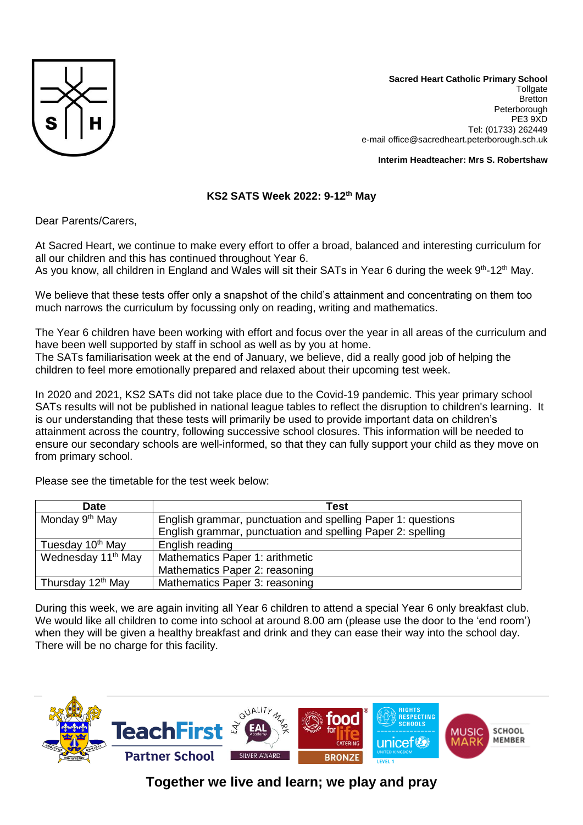

**Sacred Heart Catholic Primary School Tollgate Bretton** Peterborough PE3 9XD Tel: (01733) 262449 e-mail office@sacredheart.peterborough.sch.uk

**Interim Headteacher: Mrs S. Robertshaw**

## **KS2 SATS Week 2022: 9-12th May**

Dear Parents/Carers,

At Sacred Heart, we continue to make every effort to offer a broad, balanced and interesting curriculum for all our children and this has continued throughout Year 6.

As you know, all children in England and Wales will sit their SATs in Year 6 during the week 9<sup>th</sup>-12<sup>th</sup> May.

We believe that these tests offer only a snapshot of the child's attainment and concentrating on them too much narrows the curriculum by focussing only on reading, writing and mathematics.

The Year 6 children have been working with effort and focus over the year in all areas of the curriculum and have been well supported by staff in school as well as by you at home. The SATs familiarisation week at the end of January, we believe, did a really good job of helping the children to feel more emotionally prepared and relaxed about their upcoming test week.

In 2020 and 2021, KS2 SATs did not take place due to the Covid-19 pandemic. This year primary school SATs results will not be published in national league tables to reflect the disruption to children's learning. It is our understanding that these tests will primarily be used to provide important data on children's attainment across the country, following successive school closures. This information will be needed to ensure our secondary schools are well-informed, so that they can fully support your child as they move on from primary school.

| Date                           | Test                                                         |
|--------------------------------|--------------------------------------------------------------|
| Monday 9 <sup>th</sup> May     | English grammar, punctuation and spelling Paper 1: questions |
|                                | English grammar, punctuation and spelling Paper 2: spelling  |
| Tuesday 10 <sup>th</sup> May   | English reading                                              |
| Wednesday 11 <sup>th</sup> May | Mathematics Paper 1: arithmetic                              |
|                                | Mathematics Paper 2: reasoning                               |
| Thursday 12 <sup>th</sup> May  | Mathematics Paper 3: reasoning                               |

Please see the timetable for the test week below:

During this week, we are again inviting all Year 6 children to attend a special Year 6 only breakfast club. We would like all children to come into school at around 8.00 am (please use the door to the 'end room') when they will be given a healthy breakfast and drink and they can ease their way into the school day. There will be no charge for this facility.



## **Together we live and learn; we play and pray**